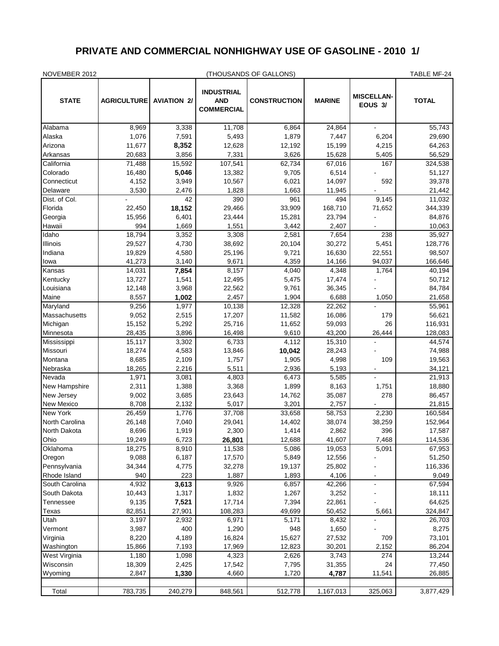## **PRIVATE AND COMMERCIAL NONHIGHWAY USE OF GASOLINE - 2010 1/**

| NOVEMBER 2012               |                    |                    | (THOUSANDS OF GALLONS)                               | TABLE MF-24         |                  |                              |                    |
|-----------------------------|--------------------|--------------------|------------------------------------------------------|---------------------|------------------|------------------------------|--------------------|
| <b>STATE</b>                | <b>AGRICULTURE</b> | <b>AVIATION 2/</b> | <b>INDUSTRIAL</b><br><b>AND</b><br><b>COMMERCIAL</b> | <b>CONSTRUCTION</b> | <b>MARINE</b>    | <b>MISCELLAN-</b><br>EOUS 3/ | <b>TOTAL</b>       |
| Alabama                     | 8,969              | 3,338              | 11,708                                               | 6,864               | 24,864           |                              | 55,743             |
| Alaska                      | 1,076              | 7,591              | 5,493                                                | 1,879               | 7,447            | 6,204                        | 29,690             |
| Arizona                     | 11,677             | 8,352              | 12,628                                               | 12,192              | 15,199           | 4,215                        | 64,263             |
| Arkansas                    | 20,683             | 3,856              | 7,331                                                | 3,626               | 15,628           | 5,405                        | 56,529             |
| California                  | 71,488             | 15,592             | 107,541                                              | 62,734              | 67,016           | 167                          | 324,538            |
| Colorado                    | 16,480             | 5,046              | 13,382                                               | 9,705               | 6,514            |                              | 51,127             |
| Connecticut                 | 4,152              | 3,949              | 10,567                                               | 6,021               | 14,097           | 592                          | 39,378             |
| Delaware                    | 3,530              | 2,476              | 1,828                                                | 1,663               | 11,945           |                              | 21,442             |
| Dist. of Col.               |                    | 42                 | 390                                                  | 961                 | 494              | 9,145                        | 11,032             |
| Florida                     | 22,450             | 18,152             | 29,466                                               | 33,909              | 168,710          | 71,652                       | 344,339            |
| Georgia                     | 15,956             | 6,401              | 23,444                                               | 15,281              | 23,794           |                              | 84,876             |
| Hawaii                      | 994                | 1,669              | 1,551                                                | 3,442               | 2,407            |                              | 10,063             |
| Idaho                       | 18,794             | 3,352              | 3,308                                                | 2,581               | 7,654            | 238                          | 35,927             |
| Illinois                    | 29,527             | 4,730              | 38,692                                               | 20,104              | 30,272           | 5,451                        | 128,776            |
| Indiana                     | 19,829             | 4,580              | 25,196                                               | 9,721               | 16,630           | 22,551                       | 98,507             |
| lowa                        | 41,273             | 3,140              | 9,671                                                | 4,359               | 14,166           | 94,037                       | 166,646            |
| Kansas                      | 14,031             | 7,854              | 8,157                                                | 4,040               | 4,348            | 1,764                        | 40,194             |
| Kentucky                    | 13,727             | 1,541              | 12,495                                               | 5,475               | 17,474           |                              | 50,712             |
| Louisiana                   | 12,148             | 3,968              | 22,562                                               | 9,761               | 36,345           |                              | 84,784             |
| Maine                       | 8,557              | 1,002              | 2,457                                                | 1,904               | 6,688            | 1,050                        | 21,658             |
| Maryland                    | 9,256              | 1,977              | 10,138                                               | 12,328              | 22,262           |                              | 55,961             |
| Massachusetts<br>Michigan   | 9,052              | 2,515              | 17,207                                               | 11,582              | 16,086           | 179<br>26                    | 56,621             |
| Minnesota                   | 15,152<br>28,435   | 5,292<br>3,896     | 25,716<br>16,498                                     | 11,652<br>9,610     | 59,093<br>43,200 | 26,444                       | 116,931<br>128,083 |
| Mississippi                 | 15,117             | 3,302              | 6,733                                                | 4,112               | 15,310           |                              | 44,574             |
| Missouri                    | 18,274             | 4,583              | 13,846                                               | 10,042              | 28,243           |                              | 74,988             |
| Montana                     | 8,685              | 2,109              | 1,757                                                | 1,905               | 4,998            | 109                          | 19,563             |
| Nebraska                    | 18,265             | 2,216              | 5,511                                                | 2,936               | 5,193            |                              | 34,121             |
| Nevada                      | 1,971              | 3,081              | 4,803                                                | 6,473               | 5,585            |                              | 21,913             |
| New Hampshire               | 2,311              | 1,388              | 3,368                                                | 1,899               | 8,163            | 1,751                        | 18,880             |
| New Jersey                  | 9,002              | 3,685              | 23,643                                               | 14,762              | 35,087           | 278                          | 86,457             |
| New Mexico                  | 8,708              | 2,132              | 5,017                                                | 3,201               | 2,757            |                              | 21,815             |
| New York                    | 26,459             | 1,776              | 37,708                                               | 33,658              | 58,753           | 2,230                        | 160,584            |
| North Carolina              | 26,148             | 7,040              | 29,041                                               | 14,402              | 38,074           | 38,259                       | 152,964            |
| North Dakota                | 8,696              | 1,919              | 2,300                                                | 1,414               | 2,862            | 396                          | 17,587             |
| Ohio                        | 19,249             | 6,723              | 26,801                                               | 12,688              | 41,607           | 7,468                        | 114,536            |
| Oklahoma                    | 18,275             | 8,910              | 11,538                                               | 5,086               | 19,053           | 5,091                        | 67,953             |
| Oregon                      | 9,088              | 6,187              | 17,570                                               | 5,849               | 12,556           |                              | 51,250             |
| Pennsylvania                | 34,344             | 4,775              | 32,278                                               | 19,137              | 25,802           |                              | 116,336            |
| Rhode Island                | 940                | 223                | 1,887                                                | 1,893               | 4,106            |                              | 9,049              |
| South Carolina              | 4,932              | 3,613              | 9,926                                                | 6,857               | 42,266           | $\blacksquare$               | 67,594             |
| South Dakota                | 10,443             | 1,317              | 1,832                                                | 1,267               | 3,252            |                              | 18,111             |
| Tennessee                   | 9,135              | 7,521              | 17,714                                               | 7,394               | 22,861           |                              | 64,625             |
| Texas                       | 82,851             | 27,901             | 108,283                                              | 49,699              | 50,452           | 5,661                        | 324,847            |
| Utah<br>Vermont             | 3,197              | 2,932<br>400       | 6,971                                                | 5,171<br>948        | 8,432            |                              | 26,703             |
|                             | 3,987              |                    | 1,290                                                |                     | 1,650            |                              | 8,275              |
| Virginia                    | 8,220<br>15,866    | 4,189<br>7,193     | 16,824<br>17,969                                     | 15,627<br>12,823    | 27,532<br>30,201 | 709<br>2,152                 | 73,101<br>86,204   |
| Washington<br>West Virginia | 1,180              | 1,098              | 4,323                                                | 2,626               | 3,743            | 274                          | 13,244             |
| Wisconsin                   | 18,309             | 2,425              | 17,542                                               | 7,795               | 31,355           | 24                           | 77,450             |
| Wyoming                     | 2,847              | 1,330              | 4,660                                                | 1,720               | 4,787            | 11,541                       | 26,885             |
|                             |                    |                    |                                                      |                     |                  |                              |                    |
| Total                       | 783,735            | 240,279            | 848,561                                              | 512,778             | 1,167,013        | 325,063                      | 3,877,429          |